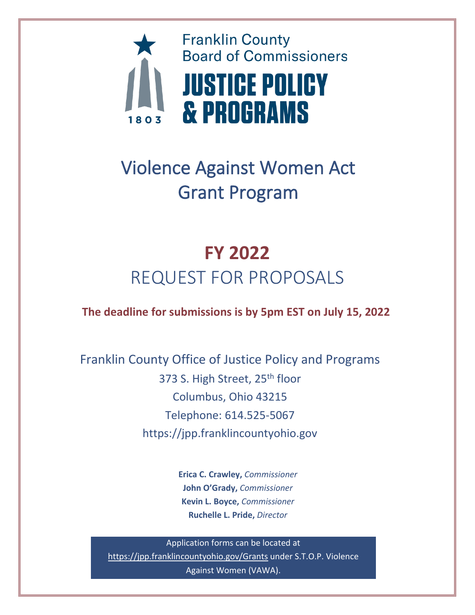

# Violence Against Women Act Grant Program

# **FY 2022** REQUEST FOR PROPOSALS

**The deadline for submissions is by 5pm EST on July 15, 2022**

Franklin County Office of Justice Policy and Programs 373 S. High Street, 25<sup>th</sup> floor Columbus, Ohio 43215 Telephone: 614.525-5067 https://jpp.franklincountyohio.gov

> **Erica C. Crawley,** *Commissioner* **John O'Grady,** *Commissioner*  **Kevin L. Boyce,** *Commissioner* **Ruchelle L. Pride,** *Director*

Application forms can be located at <https://jpp.franklincountyohio.gov/Grants> under S.T.O.P. Violence Against Women (VAWA).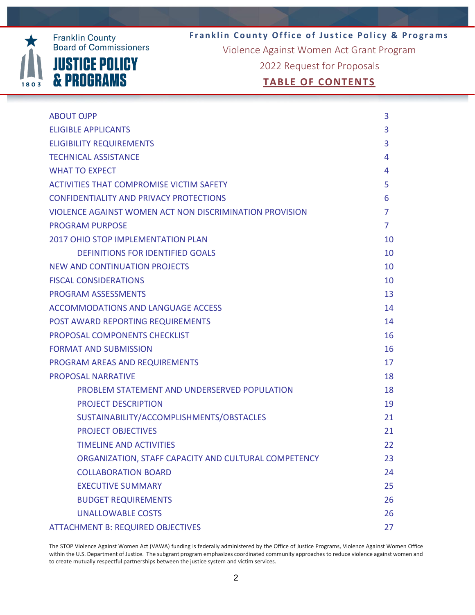

**Franklin County Office of Justice Policy & Programs** Violence Against Women Act Grant Program

2022 Request for Proposals

# **TABLE OF CONTENTS**

| <b>ABOUT OJPP</b>                                       | 3              |
|---------------------------------------------------------|----------------|
| <b>ELIGIBLE APPLICANTS</b>                              | 3              |
| <b>ELIGIBILITY REQUIREMENTS</b>                         | 3              |
| <b>TECHNICAL ASSISTANCE</b>                             | 4              |
| <b>WHAT TO EXPECT</b>                                   | 4              |
| <b>ACTIVITIES THAT COMPROMISE VICTIM SAFETY</b>         | 5              |
| <b>CONFIDENTIALITY AND PRIVACY PROTECTIONS</b>          | 6              |
| VIOLENCE AGAINST WOMEN ACT NON DISCRIMINATION PROVISION | 7              |
| <b>PROGRAM PURPOSE</b>                                  | $\overline{7}$ |
| <b>2017 OHIO STOP IMPLEMENTATION PLAN</b>               | 10             |
| <b>DEFINITIONS FOR IDENTIFIED GOALS</b>                 | 10             |
| NEW AND CONTINUATION PROJECTS                           | 10             |
| <b>FISCAL CONSIDERATIONS</b>                            | 10             |
| <b>PROGRAM ASSESSMENTS</b>                              | 13             |
| <b>ACCOMMODATIONS AND LANGUAGE ACCESS</b>               | 14             |
| POST AWARD REPORTING REQUIREMENTS                       | 14             |
| PROPOSAL COMPONENTS CHECKLIST                           | 16             |
| <b>FORMAT AND SUBMISSION</b>                            | 16             |
| PROGRAM AREAS AND REQUIREMENTS                          | 17             |
| <b>PROPOSAL NARRATIVE</b>                               | 18             |
| PROBLEM STATEMENT AND UNDERSERVED POPULATION            | 18             |
| <b>PROJECT DESCRIPTION</b>                              | 19             |
| SUSTAINABILITY/ACCOMPLISHMENTS/OBSTACLES                | 21             |
| <b>PROJECT OBJECTIVES</b>                               | 21             |
| <b>TIMELINE AND ACTIVITIES</b>                          | 22             |
| ORGANIZATION, STAFF CAPACITY AND CULTURAL COMPETENCY    | 23             |
| <b>COLLABORATION BOARD</b>                              | 24             |
| <b>EXECUTIVE SUMMARY</b>                                | 25             |
| <b>BUDGET REQUIREMENTS</b>                              | 26             |
| <b>UNALLOWABLE COSTS</b>                                | 26             |
| <b>ATTACHMENT B: REQUIRED OBJECTIVES</b>                | 27             |

The STOP Violence Against Women Act (VAWA) funding is federally administered by the Office of Justice Programs, Violence Against Women Office within the U.S. Department of Justice. The subgrant program emphasizes coordinated community approaches to reduce violence against women and to create mutually respectful partnerships between the justice system and victim services.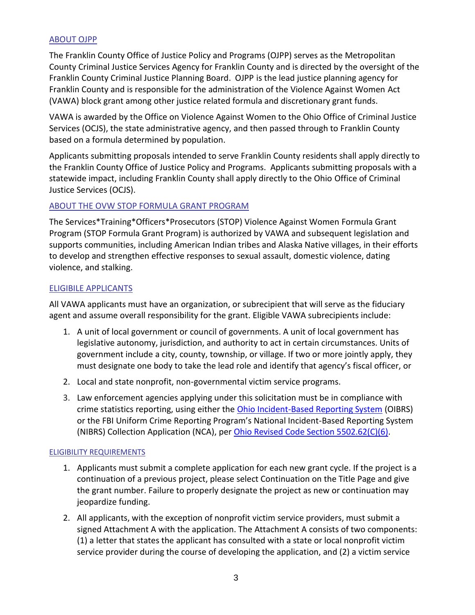#### ABOUT OJPP

The Franklin County Office of Justice Policy and Programs (OJPP) serves as the Metropolitan County Criminal Justice Services Agency for Franklin County and is directed by the oversight of the Franklin County Criminal Justice Planning Board. OJPP is the lead justice planning agency for Franklin County and is responsible for the administration of the Violence Against Women Act (VAWA) block grant among other justice related formula and discretionary grant funds.

VAWA is awarded by the Office on Violence Against Women to the Ohio Office of Criminal Justice Services (OCJS), the state administrative agency, and then passed through to Franklin County based on a formula determined by population.

Applicants submitting proposals intended to serve Franklin County residents shall apply directly to the Franklin County Office of Justice Policy and Programs. Applicants submitting proposals with a statewide impact, including Franklin County shall apply directly to the Ohio Office of Criminal Justice Services (OCJS).

#### ABOUT THE OVW STOP FORMULA GRANT PROGRAM

The Services\*Training\*Officers\*Prosecutors (STOP) Violence Against Women Formula Grant Program (STOP Formula Grant Program) is authorized by VAWA and subsequent legislation and supports communities, including American Indian tribes and Alaska Native villages, in their efforts to develop and strengthen effective responses to sexual assault, domestic violence, dating violence, and stalking.

#### ELIGIBILE APPLICANTS

All VAWA applicants must have an organization, or subrecipient that will serve as the fiduciary agent and assume overall responsibility for the grant. Eligible VAWA subrecipients include:

- 1. A unit of local government or council of governments. A unit of local government has legislative autonomy, jurisdiction, and authority to act in certain circumstances. Units of government include a city, county, township, or village. If two or more jointly apply, they must designate one body to take the lead role and identify that agency's fiscal officer, or
- 2. Local and state nonprofit, non-governmental victim service programs.
- 3. Law enforcement agencies applying under this solicitation must be in compliance with crime statistics reporting, using either the [Ohio Incident-Based Reporting System](http://ocjs.ohio.gov/oibrs/) (OIBRS) or the FBI Uniform Crime Reporting Program's National Incident-Based Reporting System (NIBRS) Collection Application (NCA), per [Ohio Revised Code Section 5502.62\(C\)\(6\).](http://codes.ohio.gov/orc/5502.62)

#### ELIGIBILITY REQUIREMENTS

- 1. Applicants must submit a complete application for each new grant cycle. If the project is a continuation of a previous project, please select Continuation on the Title Page and give the grant number. Failure to properly designate the project as new or continuation may jeopardize funding.
- 2. All applicants, with the exception of nonprofit victim service providers, must submit a signed Attachment A with the application. The Attachment A consists of two components: (1) a letter that states the applicant has consulted with a state or local nonprofit victim service provider during the course of developing the application, and (2) a victim service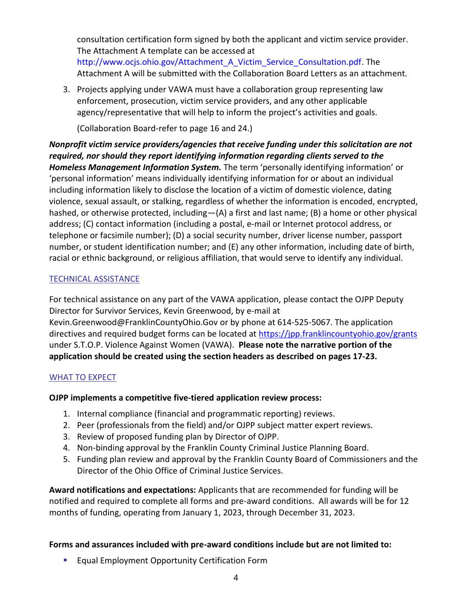consultation certification form signed by both the applicant and victim service provider. The Attachment A template can be accessed at [http://www.ocjs.ohio.gov/Attachment\\_A\\_Victim\\_Service\\_Consultation.pdf.](http://www.ocjs.ohio.gov/Attachment_A_Victim_Service_Consultation.pdf) The Attachment A will be submitted with the Collaboration Board Letters as an attachment.

3. Projects applying under VAWA must have a collaboration group representing law enforcement, prosecution, victim service providers, and any other applicable agency/representative that will help to inform the project's activities and goals.

(Collaboration Board-refer to page 16 and 24.)

*Nonprofit victim service providers/agencies that receive funding under this solicitation are not required, nor should they report identifying information regarding clients served to the Homeless Management Information System.* The term 'personally identifying information' or 'personal information' means individually identifying information for or about an individual including information likely to disclose the location of a victim of domestic violence, dating violence, sexual assault, or stalking, regardless of whether the information is encoded, encrypted, hashed, or otherwise protected, including—(A) a first and last name; (B) a home or other physical address; (C) contact information (including a postal, e-mail or Internet protocol address, or telephone or facsimile number); (D) a social security number, driver license number, passport number, or student identification number; and (E) any other information, including date of birth, racial or ethnic background, or religious affiliation, that would serve to identify any individual.

# TECHNICAL ASSISTANCE

For technical assistance on any part of the VAWA application, please contact the OJPP Deputy Director for Survivor Services, Kevin Greenwood, by e-mail at Kevin.Greenwood@FranklinCountyOhio.Gov or by phone at 614-525-5067. The application directives and required budget forms can be located at<https://jpp.franklincountyohio.gov/grants> under S.T.O.P. Violence Against Women (VAWA). **Please note the narrative portion of the application should be created using the section headers as described on pages 17-23.**

# WHAT TO EXPECT

# **OJPP implements a competitive five-tiered application review process:**

- 1. Internal compliance (financial and programmatic reporting) reviews.
- 2. Peer (professionals from the field) and/or OJPP subject matter expert reviews.
- 3. Review of proposed funding plan by Director of OJPP.
- 4. Non-binding approval by the Franklin County Criminal Justice Planning Board.
- 5. Funding plan review and approval by the Franklin County Board of Commissioners and the Director of the Ohio Office of Criminal Justice Services.

**Award notifications and expectations:** Applicants that are recommended for funding will be notified and required to complete all forms and pre-award conditions. All awards will be for 12 months of funding, operating from January 1, 2023, through December 31, 2023.

# **Forms and assurances included with pre-award conditions include but are not limited to:**

■ Equal Employment Opportunity Certification Form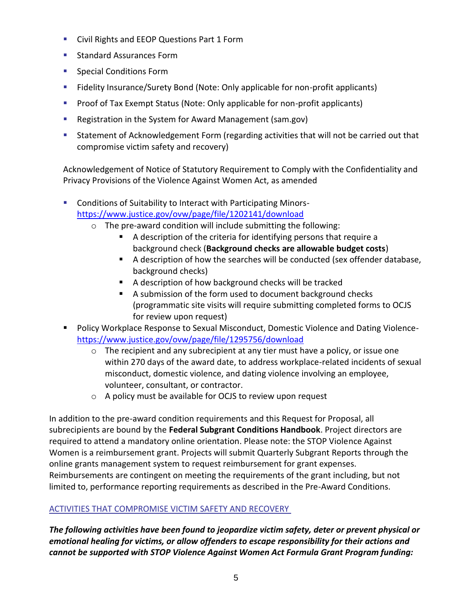- Civil Rights and EEOP Questions Part 1 Form
- Standard Assurances Form
- Special Conditions Form
- Fidelity Insurance/Surety Bond (Note: Only applicable for non-profit applicants)
- Proof of Tax Exempt Status (Note: Only applicable for non-profit applicants)
- Registration in the System for Award Management (sam.gov)
- Statement of Acknowledgement Form (regarding activities that will not be carried out that compromise victim safety and recovery)

Acknowledgement of Notice of Statutory Requirement to Comply with the Confidentiality and Privacy Provisions of the Violence Against Women Act, as amended

- Conditions of Suitability to Interact with Participating Minors<https://www.justice.gov/ovw/page/file/1202141/download>
	- o The pre-award condition will include submitting the following:
		- A description of the criteria for identifying persons that require a background check (**Background checks are allowable budget costs**)
		- A description of how the searches will be conducted (sex offender database, background checks)
		- A description of how background checks will be tracked
		- A submission of the form used to document background checks (programmatic site visits will require submitting completed forms to OCJS for review upon request)
- Policy Workplace Response to Sexual Misconduct, Domestic Violence and Dating Violence<https://www.justice.gov/ovw/page/file/1295756/download>
	- $\circ$  The recipient and any subrecipient at any tier must have a policy, or issue one within 270 days of the award date, to address workplace-related incidents of sexual misconduct, domestic violence, and dating violence involving an employee, volunteer, consultant, or contractor.
	- o A policy must be available for OCJS to review upon request

In addition to the pre-award condition requirements and this Request for Proposal, all subrecipients are bound by the **Federal Subgrant Conditions Handbook**. Project directors are required to attend a mandatory online orientation. Please note: the STOP Violence Against Women is a reimbursement grant. Projects will submit Quarterly Subgrant Reports through the online grants management system to request reimbursement for grant expenses. Reimbursements are contingent on meeting the requirements of the grant including, but not limited to, performance reporting requirements as described in the Pre-Award Conditions.

# ACTIVITIES THAT COMPROMISE VICTIM SAFETY AND RECOVERY

*The following activities have been found to jeopardize victim safety, deter or prevent physical or emotional healing for victims, or allow offenders to escape responsibility for their actions and cannot be supported with STOP Violence Against Women Act Formula Grant Program funding:*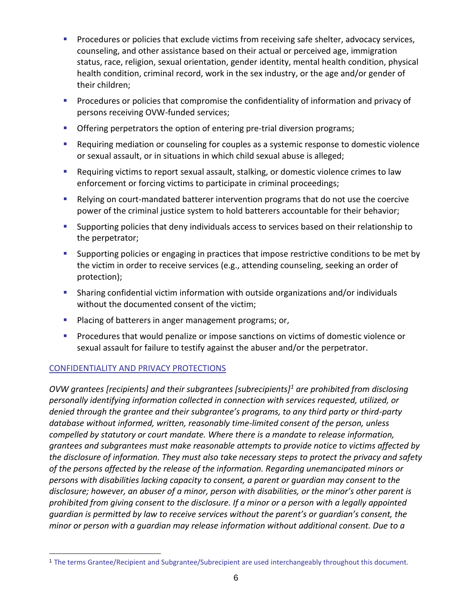- **Procedures or policies that exclude victims from receiving safe shelter, advocacy services,** counseling, and other assistance based on their actual or perceived age, immigration status, race, religion, sexual orientation, gender identity, mental health condition, physical health condition, criminal record, work in the sex industry, or the age and/or gender of their children;
- **•** Procedures or policies that compromise the confidentiality of information and privacy of persons receiving OVW-funded services;
- **Offering perpetrators the option of entering pre-trial diversion programs;**
- Requiring mediation or counseling for couples as a systemic response to domestic violence or sexual assault, or in situations in which child sexual abuse is alleged;
- Requiring victims to report sexual assault, stalking, or domestic violence crimes to law enforcement or forcing victims to participate in criminal proceedings;
- Relying on court-mandated batterer intervention programs that do not use the coercive power of the criminal justice system to hold batterers accountable for their behavior;
- Supporting policies that deny individuals access to services based on their relationship to the perpetrator;
- Supporting policies or engaging in practices that impose restrictive conditions to be met by the victim in order to receive services (e.g., attending counseling, seeking an order of protection);
- **E** Sharing confidential victim information with outside organizations and/or individuals without the documented consent of the victim;
- **Placing of batterers in anger management programs; or,**
- **•** Procedures that would penalize or impose sanctions on victims of domestic violence or sexual assault for failure to testify against the abuser and/or the perpetrator.

# CONFIDENTIALITY AND PRIVACY PROTECTIONS

*OVW grantees [recipients] and their subgrantees [subrecipients]<sup>1</sup> are prohibited from disclosing personally identifying information collected in connection with services requested, utilized, or denied through the grantee and their subgrantee's programs, to any third party or third-party database without informed, written, reasonably time-limited consent of the person, unless compelled by statutory or court mandate. Where there is a mandate to release information, grantees and subgrantees must make reasonable attempts to provide notice to victims affected by the disclosure of information. They must also take necessary steps to protect the privacy and safety of the persons affected by the release of the information. Regarding unemancipated minors or persons with disabilities lacking capacity to consent, a parent or guardian may consent to the disclosure; however, an abuser of a minor, person with disabilities, or the minor's other parent is prohibited from giving consent to the disclosure. If a minor or a person with a legally appointed guardian is permitted by law to receive services without the parent's or guardian's consent, the minor or person with a guardian may release information without additional consent. Due to a* 

<sup>1</sup> The terms Grantee/Recipient and Subgrantee/Subrecipient are used interchangeably throughout this document.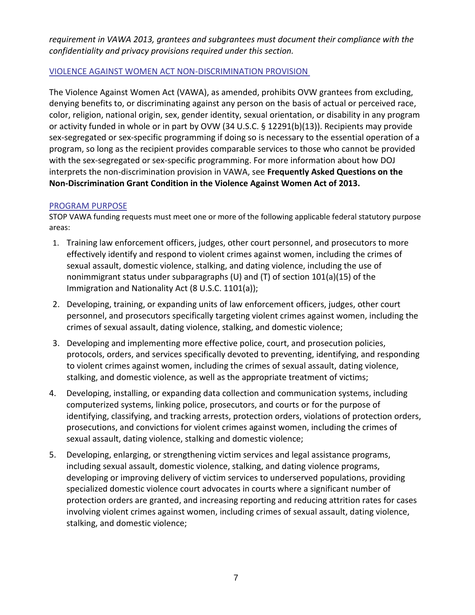*requirement in VAWA 2013, grantees and subgrantees must document their compliance with the confidentiality and privacy provisions required under this section.*

### VIOLENCE AGAINST WOMEN ACT NON-DISCRIMINATION PROVISION

The Violence Against Women Act (VAWA), as amended, prohibits OVW grantees from excluding, denying benefits to, or discriminating against any person on the basis of actual or perceived race, color, religion, national origin, sex, gender identity, sexual orientation, or disability in any program or activity funded in whole or in part by OVW (34 U.S.C. § 12291(b)(13)). Recipients may provide sex-segregated or sex-specific programming if doing so is necessary to the essential operation of a program, so long as the recipient provides comparable services to those who cannot be provided with the sex-segregated or sex-specific programming. For more information about how DOJ interprets the non-discrimination provision in VAWA, see **Frequently Asked Questions on the Non-Discrimination Grant Condition in the Violence Against Women Act of 2013.**

#### PROGRAM PURPOSE

STOP VAWA funding requests must meet one or more of the following applicable federal statutory purpose areas:

- 1. Training law enforcement officers, judges, other court personnel, and prosecutors to more effectively identify and respond to violent crimes against women, including the crimes of sexual assault, domestic violence, stalking, and dating violence, including the use of nonimmigrant status under subparagraphs (U) and (T) of section 101(a)(15) of the Immigration and Nationality Act (8 U.S.C. 1101(a));
- 2. Developing, training, or expanding units of law enforcement officers, judges, other court personnel, and prosecutors specifically targeting violent crimes against women, including the crimes of sexual assault, dating violence, stalking, and domestic violence;
- 3. Developing and implementing more effective police, court, and prosecution policies, protocols, orders, and services specifically devoted to preventing, identifying, and responding to violent crimes against women, including the crimes of sexual assault, dating violence, stalking, and domestic violence, as well as the appropriate treatment of victims;
- 4. Developing, installing, or expanding data collection and communication systems, including computerized systems, linking police, prosecutors, and courts or for the purpose of identifying, classifying, and tracking arrests, protection orders, violations of protection orders, prosecutions, and convictions for violent crimes against women, including the crimes of sexual assault, dating violence, stalking and domestic violence;
- 5. Developing, enlarging, or strengthening victim services and legal assistance programs, including sexual assault, domestic violence, stalking, and dating violence programs, developing or improving delivery of victim services to underserved populations, providing specialized domestic violence court advocates in courts where a significant number of protection orders are granted, and increasing reporting and reducing attrition rates for cases involving violent crimes against women, including crimes of sexual assault, dating violence, stalking, and domestic violence;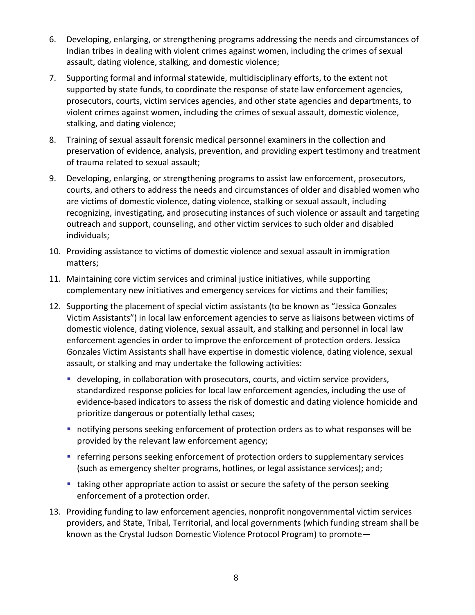- 6. Developing, enlarging, or strengthening programs addressing the needs and circumstances of Indian tribes in dealing with violent crimes against women, including the crimes of sexual assault, dating violence, stalking, and domestic violence;
- 7. Supporting formal and informal statewide, multidisciplinary efforts, to the extent not supported by state funds, to coordinate the response of state law enforcement agencies, prosecutors, courts, victim services agencies, and other state agencies and departments, to violent crimes against women, including the crimes of sexual assault, domestic violence, stalking, and dating violence;
- 8. Training of sexual assault forensic medical personnel examiners in the collection and preservation of evidence, analysis, prevention, and providing expert testimony and treatment of trauma related to sexual assault;
- 9. Developing, enlarging, or strengthening programs to assist law enforcement, prosecutors, courts, and others to address the needs and circumstances of older and disabled women who are victims of domestic violence, dating violence, stalking or sexual assault, including recognizing, investigating, and prosecuting instances of such violence or assault and targeting outreach and support, counseling, and other victim services to such older and disabled individuals;
- 10. Providing assistance to victims of domestic violence and sexual assault in immigration matters;
- 11. Maintaining core victim services and criminal justice initiatives, while supporting complementary new initiatives and emergency services for victims and their families;
- 12. Supporting the placement of special victim assistants (to be known as "Jessica Gonzales Victim Assistants") in local law enforcement agencies to serve as liaisons between victims of domestic violence, dating violence, sexual assault, and stalking and personnel in local law enforcement agencies in order to improve the enforcement of protection orders. Jessica Gonzales Victim Assistants shall have expertise in domestic violence, dating violence, sexual assault, or stalking and may undertake the following activities:
	- developing, in collaboration with prosecutors, courts, and victim service providers, standardized response policies for local law enforcement agencies, including the use of evidence-based indicators to assess the risk of domestic and dating violence homicide and prioritize dangerous or potentially lethal cases;
	- notifying persons seeking enforcement of protection orders as to what responses will be provided by the relevant law enforcement agency;
	- **EXP** referring persons seeking enforcement of protection orders to supplementary services (such as emergency shelter programs, hotlines, or legal assistance services); and;
	- taking other appropriate action to assist or secure the safety of the person seeking enforcement of a protection order.
- 13. Providing funding to law enforcement agencies, nonprofit nongovernmental victim services providers, and State, Tribal, Territorial, and local governments (which funding stream shall be known as the Crystal Judson Domestic Violence Protocol Program) to promote—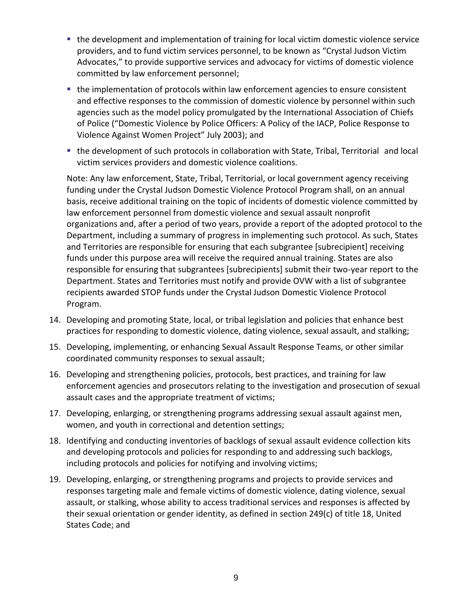- the development and implementation of training for local victim domestic violence service providers, and to fund victim services personnel, to be known as "Crystal Judson Victim Advocates," to provide supportive services and advocacy for victims of domestic violence committed by law enforcement personnel;
- the implementation of protocols within law enforcement agencies to ensure consistent and effective responses to the commission of domestic violence by personnel within such agencies such as the model policy promulgated by the International Association of Chiefs of Police ("Domestic Violence by Police Officers: A Policy of the IACP, Police Response to Violence Against Women Project" July 2003); and
- the development of such protocols in collaboration with State, Tribal, Territorial and local victim services providers and domestic violence coalitions.

Note: Any law enforcement, State, Tribal, Territorial, or local government agency receiving funding under the Crystal Judson Domestic Violence Protocol Program shall, on an annual basis, receive additional training on the topic of incidents of domestic violence committed by law enforcement personnel from domestic violence and sexual assault nonprofit organizations and, after a period of two years, provide a report of the adopted protocol to the Department, including a summary of progress in implementing such protocol. As such, States and Territories are responsible for ensuring that each subgrantee [subrecipient] receiving funds under this purpose area will receive the required annual training. States are also responsible for ensuring that subgrantees [subrecipients] submit their two-year report to the Department. States and Territories must notify and provide OVW with a list of subgrantee recipients awarded STOP funds under the Crystal Judson Domestic Violence Protocol Program.

- 14. Developing and promoting State, local, or tribal legislation and policies that enhance best practices for responding to domestic violence, dating violence, sexual assault, and stalking;
- 15. Developing, implementing, or enhancing Sexual Assault Response Teams, or other similar coordinated community responses to sexual assault;
- 16. Developing and strengthening policies, protocols, best practices, and training for law enforcement agencies and prosecutors relating to the investigation and prosecution of sexual assault cases and the appropriate treatment of victims;
- 17. Developing, enlarging, or strengthening programs addressing sexual assault against men, women, and youth in correctional and detention settings;
- 18. Identifying and conducting inventories of backlogs of sexual assault evidence collection kits and developing protocols and policies for responding to and addressing such backlogs, including protocols and policies for notifying and involving victims;
- 19. Developing, enlarging, or strengthening programs and projects to provide services and responses targeting male and female victims of domestic violence, dating violence, sexual assault, or stalking, whose ability to access traditional services and responses is affected by their sexual orientation or gender identity, as defined in section 249(c) of title 18, United States Code; and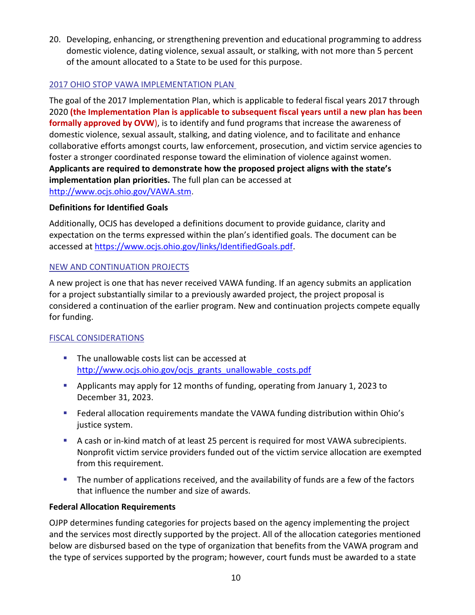20. Developing, enhancing, or strengthening prevention and educational programming to address domestic violence, dating violence, sexual assault, or stalking, with not more than 5 percent of the amount allocated to a State to be used for this purpose.

# 2017 OHIO STOP VAWA IMPLEMENTATION PLAN

The goal of the 2017 Implementation Plan, which is applicable to federal fiscal years 2017 through 2020 **(the Implementation Plan is applicable to subsequent fiscal years until a new plan has been formally approved by OVW**), is to identify and fund programs that increase the awareness of domestic violence, sexual assault, stalking, and dating violence, and to facilitate and enhance collaborative efforts amongst courts, law enforcement, prosecution, and victim service agencies to foster a stronger coordinated response toward the elimination of violence against women. **Applicants are required to demonstrate how the proposed project aligns with the state's implementation plan priorities.** The full plan can be accessed at <http://www.ocjs.ohio.gov/VAWA.stm>.

# **Definitions for Identified Goals**

Additionally, OCJS has developed a definitions document to provide guidance, clarity and expectation on the terms expressed within the plan's identified goals. The document can be accessed at [https://www.ocjs.ohio.gov/links/IdentifiedGoals.pdf.](https://www.ocjs.ohio.gov/links/IdentifiedGoals.pdf)

# NEW AND CONTINUATION PROJECTS

A new project is one that has never received VAWA funding. If an agency submits an application for a project substantially similar to a previously awarded project, the project proposal is considered a continuation of the earlier program. New and continuation projects compete equally for funding.

# FISCAL CONSIDERATIONS

- The unallowable costs list can be accessed at [http://www.ocjs.ohio.gov/ocjs\\_grants\\_unallowable\\_costs.pdf](http://www.ocjs.ohio.gov/ocjs_grants_unallowable_costs.pdf)
- Applicants may apply for 12 months of funding, operating from January 1, 2023 to December 31, 2023.
- Federal allocation requirements mandate the VAWA funding distribution within Ohio's justice system.
- A cash or in-kind match of at least 25 percent is required for most VAWA subrecipients. Nonprofit victim service providers funded out of the victim service allocation are exempted from this requirement.
- **The number of applications received, and the availability of funds are a few of the factors** that influence the number and size of awards.

# **Federal Allocation Requirements**

OJPP determines funding categories for projects based on the agency implementing the project and the services most directly supported by the project. All of the allocation categories mentioned below are disbursed based on the type of organization that benefits from the VAWA program and the type of services supported by the program; however, court funds must be awarded to a state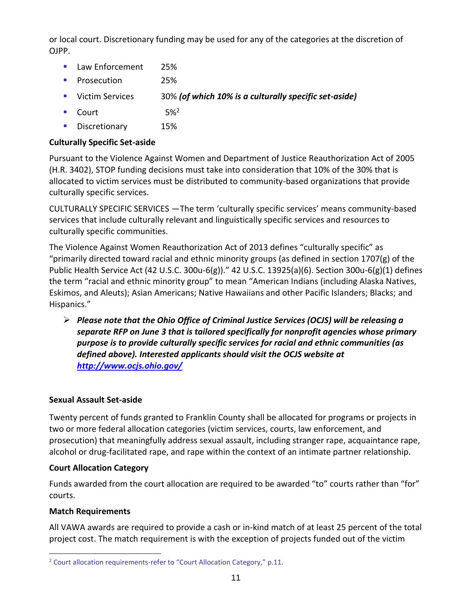or local court. Discretionary funding may be used for any of the categories at the discretion of OJPP.

- Law Enforcement 25%
- Prosecution 25%
- Victim Services 30% *(of which 10% is a culturally specific set-aside)*
- **•** Court 5%<sup>2</sup>
- **•** Discretionary 15%

### **Culturally Specific Set-aside**

Pursuant to the Violence Against Women and Department of Justice Reauthorization Act of 2005 (H.R. 3402), STOP funding decisions must take into consideration that 10% of the 30% that is allocated to victim services must be distributed to community-based organizations that provide culturally specific services.

CULTURALLY SPECIFIC SERVICES —The term 'culturally specific services' means community-based services that include culturally relevant and linguistically specific services and resources to culturally specific communities.

The Violence Against Women Reauthorization Act of 2013 defines "culturally specific" as "primarily directed toward racial and ethnic minority groups (as defined in section 1707 $(g)$  of the Public Health Service Act (42 U.S.C. 300u-6(g))." 42 U.S.C. 13925(a)(6). Section 300u-6(g)(1) defines the term "racial and ethnic minority group" to mean "American Indians (including Alaska Natives, Eskimos, and Aleuts); Asian Americans; Native Hawaiians and other Pacific Islanders; Blacks; and Hispanics."

➢ *Please note that the Ohio Office of Criminal Justice Services (OCJS) will be releasing a separate RFP on June 3 that is tailored specifically for nonprofit agencies whose primary purpose is to provide culturally specific services for racial and ethnic communities (as defined above). Interested applicants should visit the OCJS website at <http://www.ocjs.ohio.gov/>*

#### **Sexual Assault Set-aside**

Twenty percent of funds granted to Franklin County shall be allocated for programs or projects in two or more federal allocation categories (victim services, courts, law enforcement, and prosecution) that meaningfully address sexual assault, including stranger rape, acquaintance rape, alcohol or drug-facilitated rape, and rape within the context of an intimate partner relationship.

#### **Court Allocation Category**

Funds awarded from the court allocation are required to be awarded "to" courts rather than "for" courts.

#### **Match Requirements**

All VAWA awards are required to provide a cash or in-kind match of at least 25 percent of the total project cost. The match requirement is with the exception of projects funded out of the victim

<sup>&</sup>lt;sup>2</sup> Court allocation requirements-refer to "Court Allocation Category," p.11.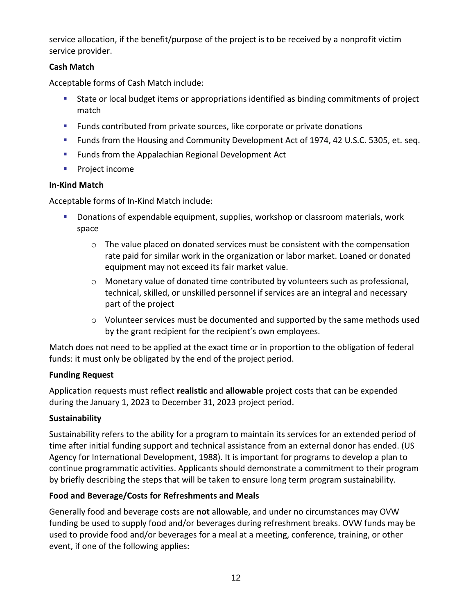service allocation, if the benefit/purpose of the project is to be received by a nonprofit victim service provider.

# **Cash Match**

Acceptable forms of Cash Match include:

- State or local budget items or appropriations identified as binding commitments of project match
- **EXECT** Funds contributed from private sources, like corporate or private donations
- **EXECT** Funds from the Housing and Community Development Act of 1974, 42 U.S.C. 5305, et. seq.
- Funds from the Appalachian Regional Development Act
- Project income

# **In-Kind Match**

Acceptable forms of In-Kind Match include:

- **EXP** Donations of expendable equipment, supplies, workshop or classroom materials, work space
	- $\circ$  The value placed on donated services must be consistent with the compensation rate paid for similar work in the organization or labor market. Loaned or donated equipment may not exceed its fair market value.
	- o Monetary value of donated time contributed by volunteers such as professional, technical, skilled, or unskilled personnel if services are an integral and necessary part of the project
	- o Volunteer services must be documented and supported by the same methods used by the grant recipient for the recipient's own employees.

Match does not need to be applied at the exact time or in proportion to the obligation of federal funds: it must only be obligated by the end of the project period.

# **Funding Request**

Application requests must reflect **realistic** and **allowable** project costs that can be expended during the January 1, 2023 to December 31, 2023 project period.

# **Sustainability**

Sustainability refers to the ability for a program to maintain its services for an extended period of time after initial funding support and technical assistance from an external donor has ended. (US Agency for International Development, 1988). It is important for programs to develop a plan to continue programmatic activities. Applicants should demonstrate a commitment to their program by briefly describing the steps that will be taken to ensure long term program sustainability.

# **Food and Beverage/Costs for Refreshments and Meals**

Generally food and beverage costs are **not** allowable, and under no circumstances may OVW funding be used to supply food and/or beverages during refreshment breaks. OVW funds may be used to provide food and/or beverages for a meal at a meeting, conference, training, or other event, if one of the following applies: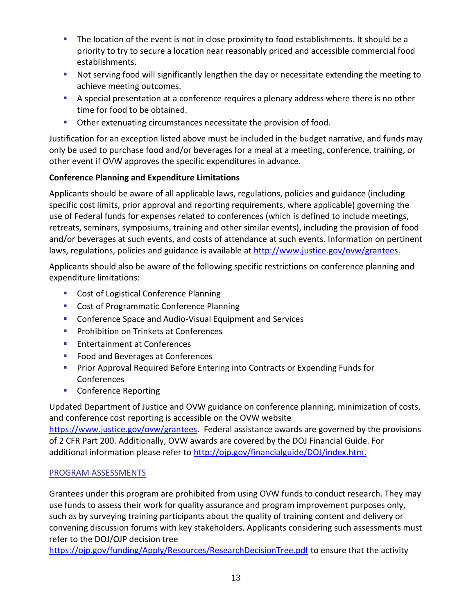- **•** The location of the event is not in close proximity to food establishments. It should be a priority to try to secure a location near reasonably priced and accessible commercial food establishments.
- Not serving food will significantly lengthen the day or necessitate extending the meeting to achieve meeting outcomes.
- **EX** A special presentation at a conference requires a plenary address where there is no other time for food to be obtained.
- Other extenuating circumstances necessitate the provision of food.

Justification for an exception listed above must be included in the budget narrative, and funds may only be used to purchase food and/or beverages for a meal at a meeting, conference, training, or other event if OVW approves the specific expenditures in advance.

# **Conference Planning and Expenditure Limitations**

Applicants should be aware of all applicable laws, regulations, policies and guidance (including specific cost limits, prior approval and reporting requirements, where applicable) governing the use of Federal funds for expenses related to conferences (which is defined to include meetings, retreats, seminars, symposiums, training and other similar events), including the provision of food and/or beverages at such events, and costs of attendance at such events. Information on pertinent laws, regulations, policies and guidance is available at [http://www.justice.gov/ovw/grantees.](http://www.justice.gov/ovw/grantees)

Applicants should also be aware of the following specific restrictions on conference planning and expenditure limitations:

- Cost of Logistical Conference Planning
- Cost of Programmatic Conference Planning
- Conference Space and Audio-Visual Equipment and Services
- Prohibition on Trinkets at Conferences
- Entertainment at Conferences
- Food and Beverages at Conferences
- **Prior Approval Required Before Entering into Contracts or Expending Funds for Conferences**
- Conference Reporting

Updated Department of Justice and OVW guidance on conference planning, minimization of costs, and conference cost reporting is accessible on the OVW website [https://www.justice.gov/ovw/grantees.](https://www.justice.gov/ovw/grantees) Federal assistance awards are governed by the provisions of 2 CFR Part 200. Additionally, OVW awards are covered by the DOJ Financial Guide. For additional information please refer to [http://ojp.gov/financialguide/DOJ/index.htm.](http://ojp.gov/financialguide/DOJ/index.htm)

# PROGRAM ASSESSMENTS

Grantees under this program are prohibited from using OVW funds to conduct research. They may use funds to assess their work for quality assurance and program improvement purposes only, such as by surveying training participants about the quality of training content and delivery or convening discussion forums with key stakeholders. Applicants considering such assessments must refer to the DOJ/OJP decision tree

<https://ojp.gov/funding/Apply/Resources/ResearchDecisionTree.pdf> to ensure that the activity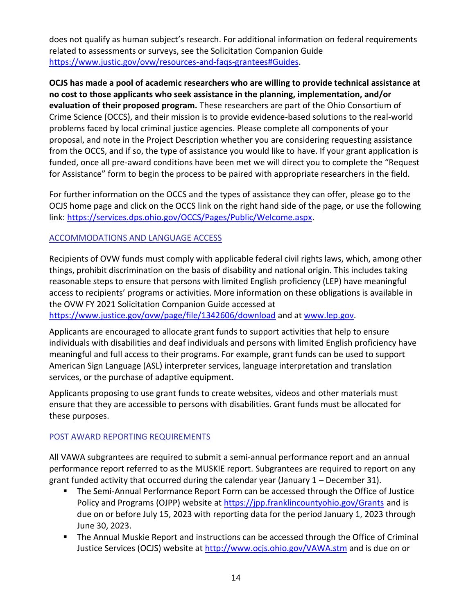does not qualify as human subject's research. For additional information on federal requirements related to assessments or surveys, see the Solicitation Companion Guide [https://www.justic.gov/ovw/resources-and-faqs-grantees#Guides.](https://www.justic.gov/ovw/resources-and-faqs-grantees#Guides)

**OCJS has made a pool of academic researchers who are willing to provide technical assistance at no cost to those applicants who seek assistance in the planning, implementation, and/or evaluation of their proposed program.** These researchers are part of the Ohio Consortium of Crime Science (OCCS), and their mission is to provide evidence-based solutions to the real-world problems faced by local criminal justice agencies. Please complete all components of your proposal, and note in the Project Description whether you are considering requesting assistance from the OCCS, and if so, the type of assistance you would like to have. If your grant application is funded, once all pre-award conditions have been met we will direct you to complete the "Request for Assistance" form to begin the process to be paired with appropriate researchers in the field.

For further information on the OCCS and the types of assistance they can offer, please go to the OCJS home page and click on the OCCS link on the right hand side of the page, or use the following link: [https://services.dps.ohio.gov/OCCS/Pages/Public/Welcome.aspx.](https://services.dps.ohio.gov/OCCS/Pages/Public/Welcome.aspx)

# ACCOMMODATIONS AND LANGUAGE ACCESS

Recipients of OVW funds must comply with applicable federal civil rights laws, which, among other things, prohibit discrimination on the basis of disability and national origin. This includes taking reasonable steps to ensure that persons with limited English proficiency (LEP) have meaningful access to recipients' programs or activities. More information on these obligations is available in the OVW FY 2021 Solicitation Companion Guide accessed at

<https://www.justice.gov/ovw/page/file/1342606/download> and at [www.lep.gov.](www.lep.gov)

Applicants are encouraged to allocate grant funds to support activities that help to ensure individuals with disabilities and deaf individuals and persons with limited English proficiency have meaningful and full access to their programs. For example, grant funds can be used to support American Sign Language (ASL) interpreter services, language interpretation and translation services, or the purchase of adaptive equipment.

Applicants proposing to use grant funds to create websites, videos and other materials must ensure that they are accessible to persons with disabilities. Grant funds must be allocated for these purposes.

# POST AWARD REPORTING REQUIREMENTS

All VAWA subgrantees are required to submit a semi-annual performance report and an annual performance report referred to as the MUSKIE report. Subgrantees are required to report on any grant funded activity that occurred during the calendar year (January 1 – December 31).

- The Semi-Annual Performance Report Form can be accessed through the Office of Justice Policy and Programs (OJPP) website at<https://jpp.franklincountyohio.gov/Grants> and is due on or before July 15, 2023 with reporting data for the period January 1, 2023 through June 30, 2023.
- The Annual Muskie Report and instructions can be accessed through the Office of Criminal Justice Services (OCJS) website at<http://www.ocjs.ohio.gov/VAWA.stm> and is due on or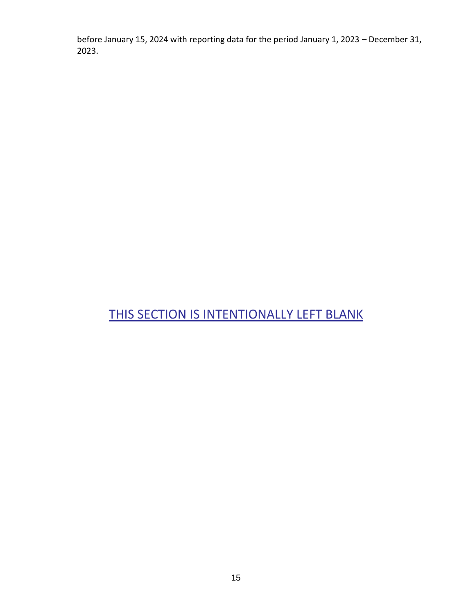before January 15, 2024 with reporting data for the period January 1, 2023 – December 31, 2023.

# THIS SECTION IS INTENTIONALLY LEFT BLANK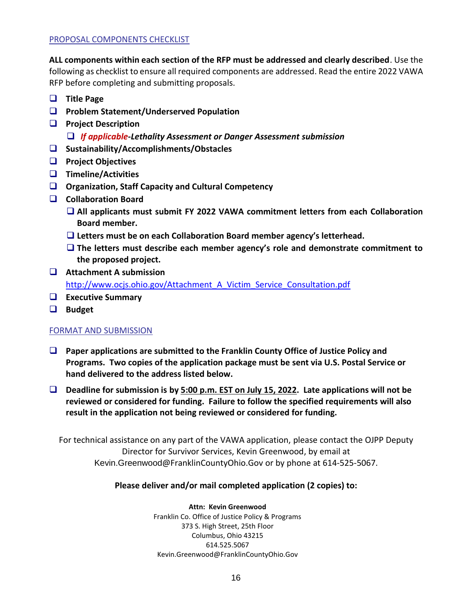#### PROPOSAL COMPONENTS CHECKLIST

**ALL components within each section of the RFP must be addressed and clearly described**. Use the following as checklist to ensure all required components are addressed. Read the entire 2022 VAWA RFP before completing and submitting proposals.

- ❑ **Title Page**
- ❑ **Problem Statement/Underserved Population**
- ❑ **Project Description**  ❑ *If applicable***-***Lethality Assessment or Danger Assessment submission*
- ❑ **Sustainability/Accomplishments/Obstacles**
- ❑ **Project Objectives**
- ❑ **Timeline/Activities**
- ❑ **Organization, Staff Capacity and Cultural Competency**
- ❑ **Collaboration Board**
	- ❑ **All applicants must submit FY 2022 VAWA commitment letters from each Collaboration Board member.**
	- ❑ **Letters must be on each Collaboration Board member agency's letterhead.**
	- ❑ **The letters must describe each member agency's role and demonstrate commitment to the proposed project.**
- ❑ **Attachment A submission** [http://www.ocjs.ohio.gov/Attachment\\_A\\_Victim\\_Service\\_Consultation.pdf](http://www.ocjs.ohio.gov/Attachment_A_Victim_Service_Consultation.pdf)
- ❑ **Executive Summary**
- ❑ **Budget**

#### FORMAT AND SUBMISSION

- ❑ **Paper applications are submitted to the Franklin County Office of Justice Policy and Programs. Two copies of the application package must be sent via U.S. Postal Service or hand delivered to the address listed below.**
- ❑ **Deadline for submission is by 5:00 p.m. EST on July 15, 2022. Late applications will not be reviewed or considered for funding. Failure to follow the specified requirements will also result in the application not being reviewed or considered for funding.**

For technical assistance on any part of the VAWA application, please contact the OJPP Deputy Director for Survivor Services, Kevin Greenwood, by email at Kevin.Greenwood@FranklinCountyOhio.Gov or by phone at 614-525-5067.

#### **Please deliver and/or mail completed application (2 copies) to:**

**Attn: Kevin Greenwood** Franklin Co. Office of Justice Policy & Programs 373 S. High Street, 25th Floor Columbus, Ohio 43215 614.525.5067 Kevin.Greenwood@FranklinCountyOhio.Gov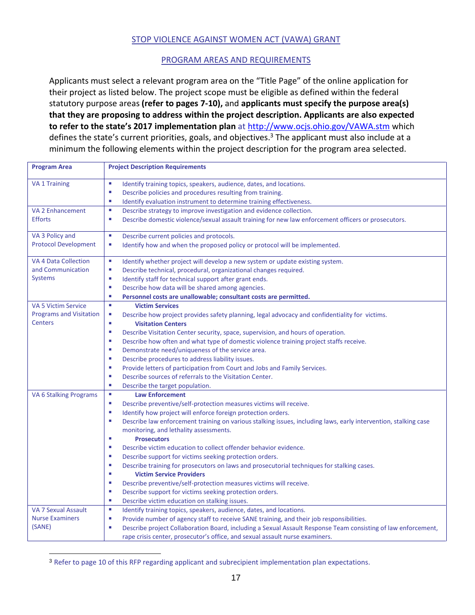#### STOP VIOLENCE AGAINST WOMEN ACT (VAWA) GRANT

#### PROGRAM AREAS AND REQUIREMENTS

Applicants must select a relevant program area on the "Title Page" of the online application for their project as listed below. The project scope must be eligible as defined within the federal statutory purpose areas **(refer to pages 7-10),** and **applicants must specify the purpose area(s) that they are proposing to address within the project description. Applicants are also expected to refer to the state's 2017 implementation plan** at<http://www.ocjs.ohio.gov/VAWA.stm> which defines the state's current priorities, goals, and objectives.<sup>3</sup> The applicant must also include at a minimum the following elements within the project description for the program area selected.

| <b>Program Area</b>              | <b>Project Description Requirements</b>                                                                                                                                                                                                                                                              |
|----------------------------------|------------------------------------------------------------------------------------------------------------------------------------------------------------------------------------------------------------------------------------------------------------------------------------------------------|
| <b>VA 1 Training</b>             | ×.<br>Identify training topics, speakers, audience, dates, and locations.                                                                                                                                                                                                                            |
|                                  | a.<br>Describe policies and procedures resulting from training.                                                                                                                                                                                                                                      |
|                                  | ×,<br>Identify evaluation instrument to determine training effectiveness.                                                                                                                                                                                                                            |
| <b>VA 2 Enhancement</b>          | ×<br>Describe strategy to improve investigation and evidence collection.                                                                                                                                                                                                                             |
| <b>Efforts</b>                   | L.<br>Describe domestic violence/sexual assault training for new law enforcement officers or prosecutors.                                                                                                                                                                                            |
| VA 3 Policy and                  | $\blacksquare$                                                                                                                                                                                                                                                                                       |
| <b>Protocol Development</b>      | Describe current policies and protocols.<br>×,<br>Identify how and when the proposed policy or protocol will be implemented.                                                                                                                                                                         |
|                                  |                                                                                                                                                                                                                                                                                                      |
| <b>VA 4 Data Collection</b>      | $\overline{\phantom{a}}$<br>Identify whether project will develop a new system or update existing system.                                                                                                                                                                                            |
| and Communication                | Describe technical, procedural, organizational changes required.<br>×                                                                                                                                                                                                                                |
| <b>Systems</b>                   | Identify staff for technical support after grant ends.<br>ш                                                                                                                                                                                                                                          |
|                                  | Describe how data will be shared among agencies.<br>×                                                                                                                                                                                                                                                |
|                                  | ×<br>Personnel costs are unallowable; consultant costs are permitted.                                                                                                                                                                                                                                |
| <b>VA 5 Victim Service</b>       | $\mathbf{r}$<br><b>Victim Services</b>                                                                                                                                                                                                                                                               |
| <b>Programs and Visitation</b>   | Describe how project provides safety planning, legal advocacy and confidentiality for victims.<br>a.                                                                                                                                                                                                 |
| <b>Centers</b>                   | u,<br><b>Visitation Centers</b>                                                                                                                                                                                                                                                                      |
|                                  | ×<br>Describe Visitation Center security, space, supervision, and hours of operation.                                                                                                                                                                                                                |
|                                  | Describe how often and what type of domestic violence training project staffs receive.<br>×                                                                                                                                                                                                          |
|                                  | Demonstrate need/uniqueness of the service area.<br>×                                                                                                                                                                                                                                                |
|                                  | Describe procedures to address liability issues.<br>×                                                                                                                                                                                                                                                |
|                                  | Provide letters of participation from Court and Jobs and Family Services.<br>×                                                                                                                                                                                                                       |
|                                  | Describe sources of referrals to the Visitation Center.<br>×                                                                                                                                                                                                                                         |
|                                  | ×,<br>Describe the target population.                                                                                                                                                                                                                                                                |
| <b>VA 6 Stalking Programs</b>    | $\overline{\phantom{a}}$<br><b>Law Enforcement</b>                                                                                                                                                                                                                                                   |
|                                  | ×<br>Describe preventive/self-protection measures victims will receive.                                                                                                                                                                                                                              |
|                                  | Identify how project will enforce foreign protection orders.<br>×                                                                                                                                                                                                                                    |
|                                  | Describe law enforcement training on various stalking issues, including laws, early intervention, stalking case<br>×                                                                                                                                                                                 |
|                                  | monitoring, and lethality assessments.                                                                                                                                                                                                                                                               |
|                                  | ×<br><b>Prosecutors</b>                                                                                                                                                                                                                                                                              |
|                                  | Describe victim education to collect offender behavior evidence.<br>×                                                                                                                                                                                                                                |
|                                  | Describe support for victims seeking protection orders.<br>×                                                                                                                                                                                                                                         |
|                                  | ×<br>Describe training for prosecutors on laws and prosecutorial techniques for stalking cases.<br>×                                                                                                                                                                                                 |
|                                  | <b>Victim Service Providers</b><br>×                                                                                                                                                                                                                                                                 |
|                                  | Describe preventive/self-protection measures victims will receive.                                                                                                                                                                                                                                   |
|                                  | Describe support for victims seeking protection orders.<br>×<br>×                                                                                                                                                                                                                                    |
| <b>VA 7 Sexual Assault</b>       | Describe victim education on stalking issues.<br><b>I</b>                                                                                                                                                                                                                                            |
|                                  | Identify training topics, speakers, audience, dates, and locations.                                                                                                                                                                                                                                  |
|                                  |                                                                                                                                                                                                                                                                                                      |
|                                  |                                                                                                                                                                                                                                                                                                      |
| <b>Nurse Examiners</b><br>(SANE) | L.<br>Provide number of agency staff to receive SANE training, and their job responsibilities.<br>Describe project Collaboration Board, including a Sexual Assault Response Team consisting of law enforcement,<br>×<br>rape crisis center, prosecutor's office, and sexual assault nurse examiners. |

<sup>&</sup>lt;sup>3</sup> Refer to page 10 of this RFP regarding applicant and subrecipient implementation plan expectations.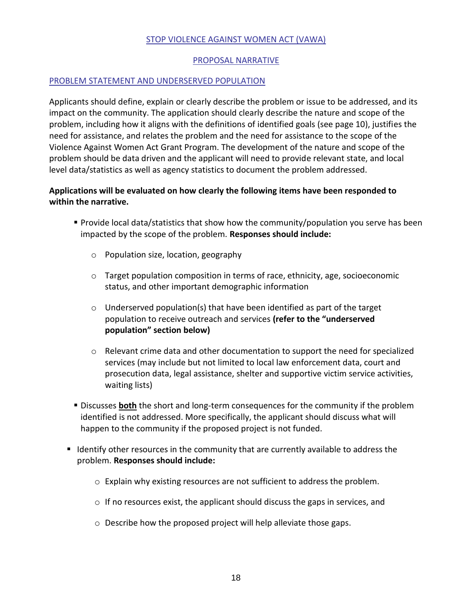#### STOP VIOLENCE AGAINST WOMEN ACT (VAWA)

#### PROPOSAL NARRATIVE

#### PROBLEM STATEMENT AND UNDERSERVED POPULATION

Applicants should define, explain or clearly describe the problem or issue to be addressed, and its impact on the community. The application should clearly describe the nature and scope of the problem, including how it aligns with the definitions of identified goals (see page 10), justifies the need for assistance, and relates the problem and the need for assistance to the scope of the Violence Against Women Act Grant Program. The development of the nature and scope of the problem should be data driven and the applicant will need to provide relevant state, and local level data/statistics as well as agency statistics to document the problem addressed.

# **Applications will be evaluated on how clearly the following items have been responded to within the narrative.**

- Provide local data/statistics that show how the community/population you serve has been impacted by the scope of the problem. **Responses should include:**
	- o Population size, location, geography
	- $\circ$  Target population composition in terms of race, ethnicity, age, socioeconomic status, and other important demographic information
	- $\circ$  Underserved population(s) that have been identified as part of the target population to receive outreach and services **(refer to the "underserved population" section below)**
	- $\circ$  Relevant crime data and other documentation to support the need for specialized services (may include but not limited to local law enforcement data, court and prosecution data, legal assistance, shelter and supportive victim service activities, waiting lists)
- **EX** Discusses **both** the short and long-term consequences for the community if the problem identified is not addressed. More specifically, the applicant should discuss what will happen to the community if the proposed project is not funded.
- Identify other resources in the community that are currently available to address the problem. **Responses should include:**
	- o Explain why existing resources are not sufficient to address the problem.
	- o If no resources exist, the applicant should discuss the gaps in services, and
	- o Describe how the proposed project will help alleviate those gaps.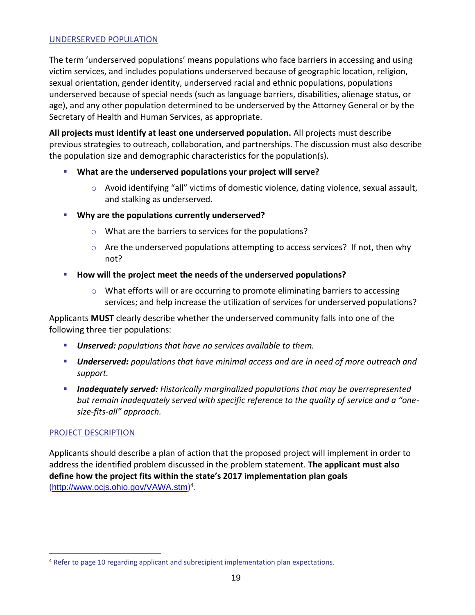#### UNDERSERVED POPULATION

The term 'underserved populations' means populations who face barriers in accessing and using victim services, and includes populations underserved because of geographic location, religion, sexual orientation, gender identity, underserved racial and ethnic populations, populations underserved because of special needs (such as language barriers, disabilities, alienage status, or age), and any other population determined to be underserved by the Attorney General or by the Secretary of Health and Human Services, as appropriate.

**All projects must identify at least one underserved population.** All projects must describe previous strategies to outreach, collaboration, and partnerships. The discussion must also describe the population size and demographic characteristics for the population(s).

- **What are the underserved populations your project will serve?**
	- o Avoid identifying "all" victims of domestic violence, dating violence, sexual assault, and stalking as underserved.
- **Why are the populations currently underserved?** 
	- o What are the barriers to services for the populations?
	- o Are the underserved populations attempting to access services? If not, then why not?
- **How will the project meet the needs of the underserved populations?** 
	- $\circ$  What efforts will or are occurring to promote eliminating barriers to accessing services; and help increase the utilization of services for underserved populations?

Applicants **MUST** clearly describe whether the underserved community falls into one of the following three tier populations:

- *Unserved: populations that have no services available to them.*
- *Underserved: populations that have minimal access and are in need of more outreach and support.*
- *Inadequately served: Historically marginalized populations that may be overrepresented but remain inadequately served with specific reference to the quality of service and a "onesize-fits-all" approach.*

#### PROJECT DESCRIPTION

Applicants should describe a plan of action that the proposed project will implement in order to address the identified problem discussed in the problem statement. **The applicant must also define how the project fits within the state's 2017 implementation plan goals** (<http://www.ocjs.ohio.gov/VAWA.stm>)<sup>4</sup>.

<sup>&</sup>lt;sup>4</sup> Refer to page 10 regarding applicant and subrecipient implementation plan expectations.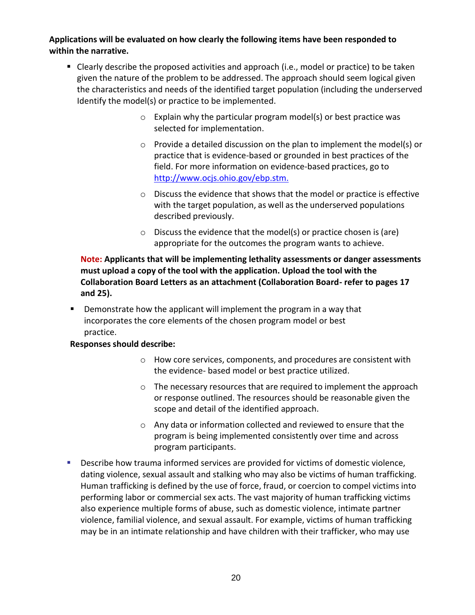**Applications will be evaluated on how clearly the following items have been responded to within the narrative.**

- Clearly describe the proposed activities and approach (i.e., model or practice) to be taken given the nature of the problem to be addressed. The approach should seem logical given the characteristics and needs of the identified target population (including the underserved Identify the model(s) or practice to be implemented.
	- $\circ$  Explain why the particular program model(s) or best practice was selected for implementation.
	- $\circ$  Provide a detailed discussion on the plan to implement the model(s) or practice that is evidence-based or grounded in best practices of the field. For more information on evidence-based practices, go to [http://www.ocjs.ohio.gov/ebp.stm.](http://www.ocjs.ohio.gov/ebp.stm)
	- o Discuss the evidence that shows that the model or practice is effective with the target population, as well as the underserved populations described previously.
	- o Discuss the evidence that the model(s) or practice chosen is (are) appropriate for the outcomes the program wants to achieve.

# **Note: Applicants that will be implementing lethality assessments or danger assessments must upload a copy of the tool with the application. Upload the tool with the Collaboration Board Letters as an attachment (Collaboration Board- refer to pages 17 and 25).**

**•** Demonstrate how the applicant will implement the program in a way that incorporates the core elements of the chosen program model or best practice.

# **Responses should describe:**

- o How core services, components, and procedures are consistent with the evidence- based model or best practice utilized.
- $\circ$  The necessary resources that are required to implement the approach or response outlined. The resources should be reasonable given the scope and detail of the identified approach.
- o Any data or information collected and reviewed to ensure that the program is being implemented consistently over time and across program participants.
- **EXECT:** Describe how trauma informed services are provided for victims of domestic violence, dating violence, sexual assault and stalking who may also be victims of human trafficking. Human trafficking is defined by the use of force, fraud, or coercion to compel victims into performing labor or commercial sex acts. The vast majority of human trafficking victims also experience multiple forms of abuse, such as domestic violence, intimate partner violence, familial violence, and sexual assault. For example, victims of human trafficking may be in an intimate relationship and have children with their trafficker, who may use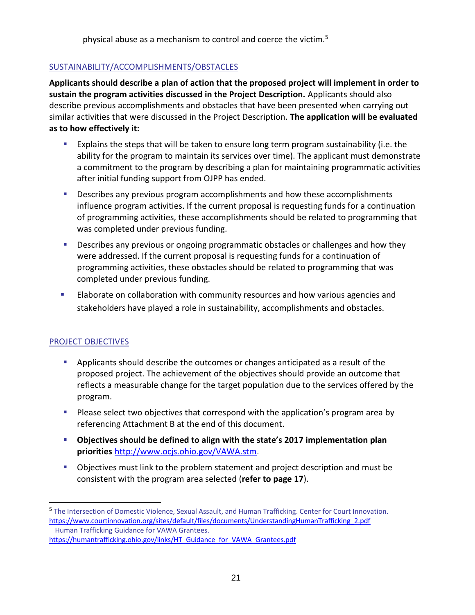physical abuse as a mechanism to control and coerce the victim.<sup>5</sup>

# SUSTAINABILITY/ACCOMPLISHMENTS/OBSTACLES

**Applicants should describe a plan of action that the proposed project will implement in order to sustain the program activities discussed in the Project Description.** Applicants should also describe previous accomplishments and obstacles that have been presented when carrying out similar activities that were discussed in the Project Description. **The application will be evaluated as to how effectively it:**

- **Explains the steps that will be taken to ensure long term program sustainability (i.e. the** ability for the program to maintain its services over time). The applicant must demonstrate a commitment to the program by describing a plan for maintaining programmatic activities after initial funding support from OJPP has ended.
- **•** Describes any previous program accomplishments and how these accomplishments influence program activities. If the current proposal is requesting funds for a continuation of programming activities, these accomplishments should be related to programming that was completed under previous funding.
- **E** Describes any previous or ongoing programmatic obstacles or challenges and how they were addressed. If the current proposal is requesting funds for a continuation of programming activities, these obstacles should be related to programming that was completed under previous funding.
- **Elaborate on collaboration with community resources and how various agencies and** stakeholders have played a role in sustainability, accomplishments and obstacles.

# PROJECT OBJECTIVES

- **EXEC** Applicants should describe the outcomes or changes anticipated as a result of the proposed project. The achievement of the objectives should provide an outcome that reflects a measurable change for the target population due to the services offered by the program.
- Please select two objectives that correspond with the application's program area by referencing Attachment B at the end of this document.
- **Objectives should be defined to align with the state's 2017 implementation plan priorities** <http://www.ocjs.ohio.gov/VAWA.stm>.
- Objectives must link to the problem statement and project description and must be consistent with the program area selected (**refer to page 17**).

<sup>5</sup> The Intersection of Domestic Violence, Sexual Assault, and Human Trafficking. Center for Court Innovation. http[s://www.courtinnovation.org/sites/default/files/documents/UnderstandingHumanTrafficking\\_2.pdf](http://www.courtinnovation.org/sites/default/files/documents/UnderstandingHumanTrafficking_2.pdf) Human Trafficking Guidance for VAWA Grantees.

https://humantrafficking.ohio.gov/links/HT\_Guidance\_for\_VAWA\_Grantees.pdf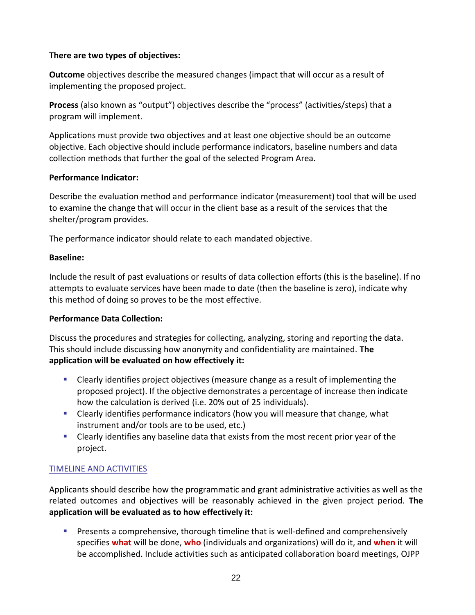# **There are two types of objectives:**

**Outcome** objectives describe the measured changes (impact that will occur as a result of implementing the proposed project.

**Process** (also known as "output") objectives describe the "process" (activities/steps) that a program will implement.

Applications must provide two objectives and at least one objective should be an outcome objective. Each objective should include performance indicators, baseline numbers and data collection methods that further the goal of the selected Program Area.

# **Performance Indicator:**

Describe the evaluation method and performance indicator (measurement) tool that will be used to examine the change that will occur in the client base as a result of the services that the shelter/program provides.

The performance indicator should relate to each mandated objective.

#### **Baseline:**

Include the result of past evaluations or results of data collection efforts (this is the baseline). If no attempts to evaluate services have been made to date (then the baseline is zero), indicate why this method of doing so proves to be the most effective.

# **Performance Data Collection:**

Discuss the procedures and strategies for collecting, analyzing, storing and reporting the data. This should include discussing how anonymity and confidentiality are maintained. **The application will be evaluated on how effectively it:**

- Clearly identifies project objectives (measure change as a result of implementing the proposed project). If the objective demonstrates a percentage of increase then indicate how the calculation is derived (i.e. 20% out of 25 individuals).
- Clearly identifies performance indicators (how you will measure that change, what instrument and/or tools are to be used, etc.)
- **EXECO I** Clearly identifies any baseline data that exists from the most recent prior year of the project.

# TIMELINE AND ACTIVITIES

Applicants should describe how the programmatic and grant administrative activities as well as the related outcomes and objectives will be reasonably achieved in the given project period. **The application will be evaluated as to how effectively it:**

**•** Presents a comprehensive, thorough timeline that is well-defined and comprehensively specifies **what** will be done, **who** (individuals and organizations) will do it, and **when** it will be accomplished. Include activities such as anticipated collaboration board meetings, OJPP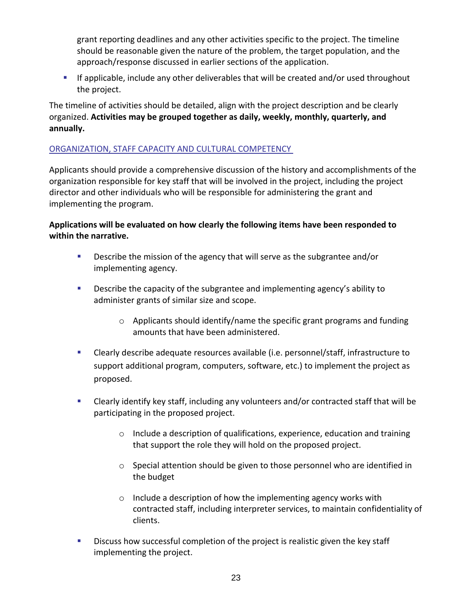grant reporting deadlines and any other activities specific to the project. The timeline should be reasonable given the nature of the problem, the target population, and the approach/response discussed in earlier sections of the application.

▪ If applicable, include any other deliverables that will be created and/or used throughout the project.

The timeline of activities should be detailed, align with the project description and be clearly organized. **Activities may be grouped together as daily, weekly, monthly, quarterly, and annually.**

# ORGANIZATION, STAFF CAPACITY AND CULTURAL COMPETENCY

Applicants should provide a comprehensive discussion of the history and accomplishments of the organization responsible for key staff that will be involved in the project, including the project director and other individuals who will be responsible for administering the grant and implementing the program.

# **Applications will be evaluated on how clearly the following items have been responded to within the narrative.**

- **•** Describe the mission of the agency that will serve as the subgrantee and/or implementing agency.
- Describe the capacity of the subgrantee and implementing agency's ability to administer grants of similar size and scope.
	- $\circ$  Applicants should identify/name the specific grant programs and funding amounts that have been administered.
- Clearly describe adequate resources available (i.e. personnel/staff, infrastructure to support additional program, computers, software, etc.) to implement the project as proposed.
- Clearly identify key staff, including any volunteers and/or contracted staff that will be participating in the proposed project.
	- $\circ$  Include a description of qualifications, experience, education and training that support the role they will hold on the proposed project.
	- $\circ$  Special attention should be given to those personnel who are identified in the budget
	- o Include a description of how the implementing agency works with contracted staff, including interpreter services, to maintain confidentiality of clients.
- **EXEDENT** Discuss how successful completion of the project is realistic given the key staff implementing the project.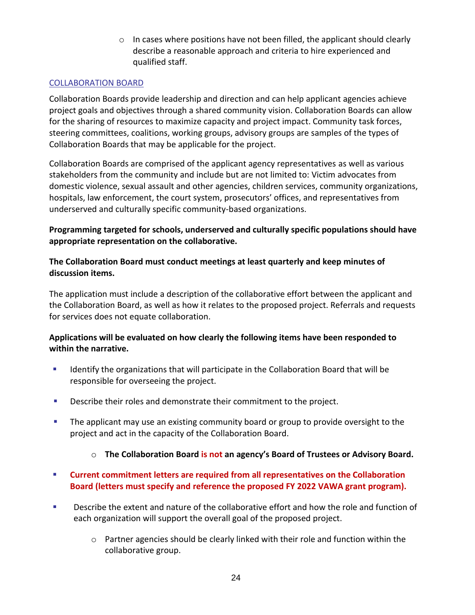$\circ$  In cases where positions have not been filled, the applicant should clearly describe a reasonable approach and criteria to hire experienced and qualified staff.

# COLLABORATION BOARD

Collaboration Boards provide leadership and direction and can help applicant agencies achieve project goals and objectives through a shared community vision. Collaboration Boards can allow for the sharing of resources to maximize capacity and project impact. Community task forces, steering committees, coalitions, working groups, advisory groups are samples of the types of Collaboration Boards that may be applicable for the project.

Collaboration Boards are comprised of the applicant agency representatives as well as various stakeholders from the community and include but are not limited to: Victim advocates from domestic violence, sexual assault and other agencies, children services, community organizations, hospitals, law enforcement, the court system, prosecutors' offices, and representatives from underserved and culturally specific community-based organizations.

# **Programming targeted for schools, underserved and culturally specific populations should have appropriate representation on the collaborative.**

# **The Collaboration Board must conduct meetings at least quarterly and keep minutes of discussion items.**

The application must include a description of the collaborative effort between the applicant and the Collaboration Board, as well as how it relates to the proposed project. Referrals and requests for services does not equate collaboration.

# **Applications will be evaluated on how clearly the following items have been responded to within the narrative.**

- Identify the organizations that will participate in the Collaboration Board that will be responsible for overseeing the project.
- **EXEC** Describe their roles and demonstrate their commitment to the project.
- **•** The applicant may use an existing community board or group to provide oversight to the project and act in the capacity of the Collaboration Board.
	- o **The Collaboration Board is not an agency's Board of Trustees or Advisory Board.**
- **Current commitment letters are required from all representatives on the Collaboration Board (letters must specify and reference the proposed FY 2022 VAWA grant program).**
- **EXECT** Describe the extent and nature of the collaborative effort and how the role and function of each organization will support the overall goal of the proposed project.
	- $\circ$  Partner agencies should be clearly linked with their role and function within the collaborative group.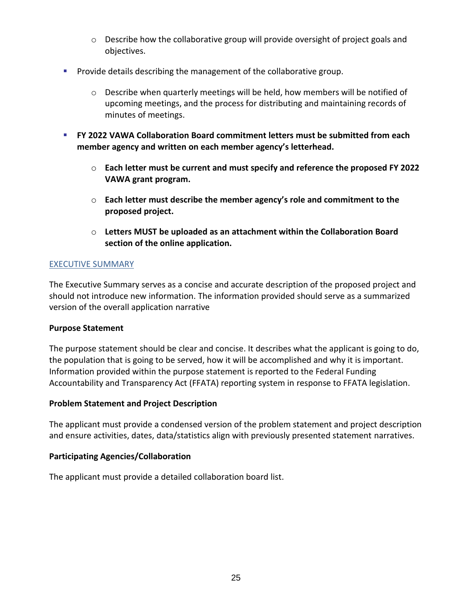- $\circ$  Describe how the collaborative group will provide oversight of project goals and objectives.
- Provide details describing the management of the collaborative group.
	- $\circ$  Describe when quarterly meetings will be held, how members will be notified of upcoming meetings, and the process for distributing and maintaining records of minutes of meetings.
- **FY 2022 VAWA Collaboration Board commitment letters must be submitted from each member agency and written on each member agency's letterhead.**
	- o **Each letter must be current and must specify and reference the proposed FY 2022 VAWA grant program.**
	- o **Each letter must describe the member agency's role and commitment to the proposed project.**
	- o **Letters MUST be uploaded as an attachment within the Collaboration Board section of the online application.**

#### EXECUTIVE SUMMARY

The Executive Summary serves as a concise and accurate description of the proposed project and should not introduce new information. The information provided should serve as a summarized version of the overall application narrative

#### **Purpose Statement**

The purpose statement should be clear and concise. It describes what the applicant is going to do, the population that is going to be served, how it will be accomplished and why it is important. Information provided within the purpose statement is reported to the Federal Funding Accountability and Transparency Act (FFATA) reporting system in response to FFATA legislation.

#### **Problem Statement and Project Description**

The applicant must provide a condensed version of the problem statement and project description and ensure activities, dates, data/statistics align with previously presented statement narratives.

#### **Participating Agencies/Collaboration**

The applicant must provide a detailed collaboration board list.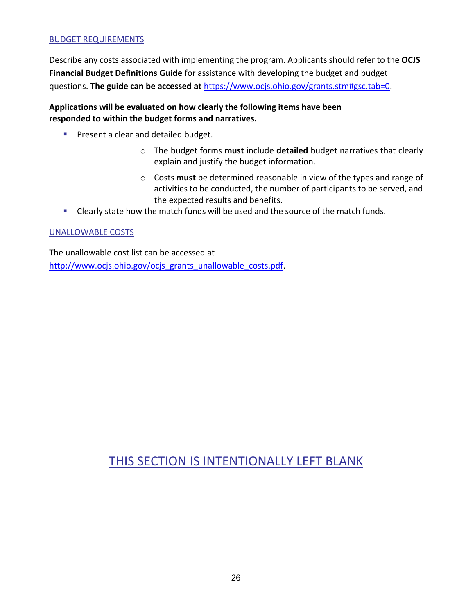#### BUDGET REQUIREMENTS

Describe any costs associated with implementing the program. Applicants should refer to the **OCJS Financial Budget Definitions Guide** for assistance with developing the budget and budget questions. **The guide can be accessed at** https[://www.ocjs.ohio.gov/grants.stm#gsc.tab=0.](http://www.ocjs.ohio.gov/grants.stm#gsc.tab%3D0)

# **Applications will be evaluated on how clearly the following items have been responded to within the budget forms and narratives.**

- **•** Present a clear and detailed budget.
	- o The budget forms **must** include **detailed** budget narratives that clearly explain and justify the budget information.
	- o Costs **must** be determined reasonable in view of the types and range of activities to be conducted, the number of participants to be served, and the expected results and benefits.
- Clearly state how the match funds will be used and the source of the match funds.

#### UNALLOWABLE COSTS

The unallowable cost list can be accessed at [http://www.ocjs.ohio.gov/ocjs\\_grants\\_unallowable\\_costs.pdf.](http://www.ocjs.ohio.gov/ocjs_grants_unallowable_costs.pdf)

# THIS SECTION IS INTENTIONALLY LEFT BLANK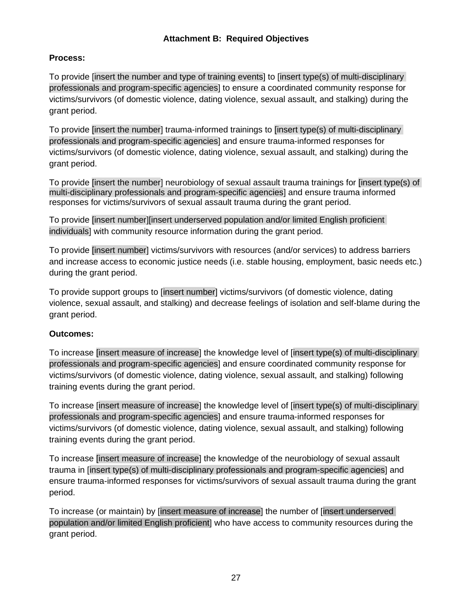# **Attachment B: Required Objectives**

# **Process:**

To provide [insert the number and type of training events] to [insert type(s) of multi-disciplinary professionals and program-specific agencies] to ensure a coordinated community response for victims/survivors (of domestic violence, dating violence, sexual assault, and stalking) during the grant period.

To provide [insert the number] trauma-informed trainings to [insert type(s) of multi-disciplinary professionals and program-specific agencies] and ensure trauma-informed responses for victims/survivors (of domestic violence, dating violence, sexual assault, and stalking) during the grant period.

To provide [insert the number] neurobiology of sexual assault trauma trainings for [insert type(s) of multi-disciplinary professionals and program-specific agencies] and ensure trauma informed responses for victims/survivors of sexual assault trauma during the grant period.

To provide [insert number][insert underserved population and/or limited English proficient individuals] with community resource information during the grant period.

To provide [insert number] victims/survivors with resources (and/or services) to address barriers and increase access to economic justice needs (i.e. stable housing, employment, basic needs etc.) during the grant period.

To provide support groups to [insert number] victims/survivors (of domestic violence, dating violence, sexual assault, and stalking) and decrease feelings of isolation and self-blame during the grant period.

# **Outcomes:**

To increase [insert measure of increase] the knowledge level of [insert type(s) of multi-disciplinary professionals and program-specific agencies] and ensure coordinated community response for victims/survivors (of domestic violence, dating violence, sexual assault, and stalking) following training events during the grant period.

To increase [insert measure of increase] the knowledge level of [insert type(s) of multi-disciplinary professionals and program-specific agencies] and ensure trauma-informed responses for victims/survivors (of domestic violence, dating violence, sexual assault, and stalking) following training events during the grant period.

To increase [insert measure of increase] the knowledge of the neurobiology of sexual assault trauma in [insert type(s) of multi-disciplinary professionals and program-specific agencies] and ensure trauma-informed responses for victims/survivors of sexual assault trauma during the grant period.

To increase (or maintain) by [insert measure of increase] the number of [insert underserved population and/or limited English proficient] who have access to community resources during the grant period.